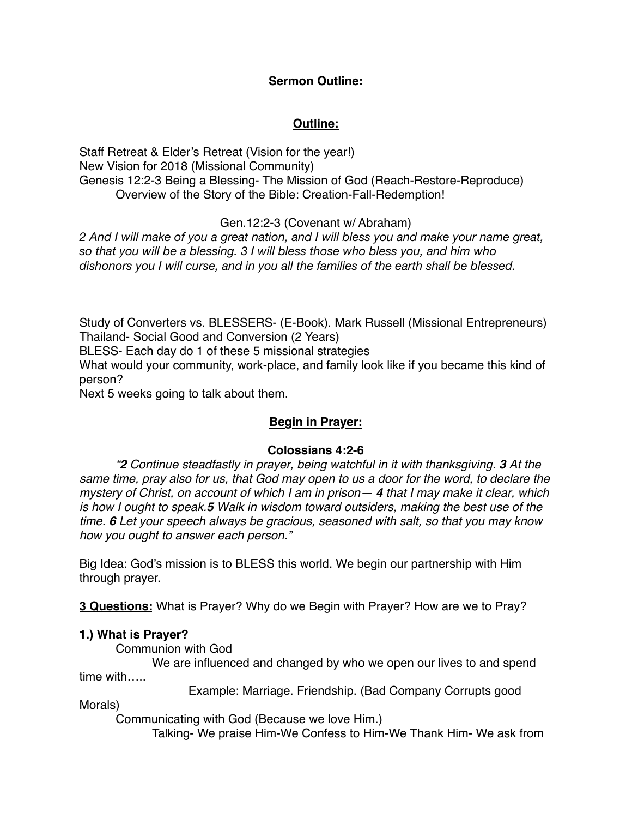#### **Sermon Outline:**

# **Outline:**

Staff Retreat & Elder's Retreat (Vision for the year!) New Vision for 2018 (Missional Community) Genesis 12:2-3 Being a Blessing- The Mission of God (Reach-Restore-Reproduce) Overview of the Story of the Bible: Creation-Fall-Redemption!

### Gen.12:2-3 (Covenant w/ Abraham)

*2 And I will make of you a great nation, and I will bless you and make your name great, so that you will be a blessing. 3 I will bless those who bless you, and him who dishonors you I will curse, and in you all the families of the earth shall be blessed.*

Study of Converters vs. BLESSERS- (E-Book). Mark Russell (Missional Entrepreneurs) Thailand- Social Good and Conversion (2 Years)

BLESS- Each day do 1 of these 5 missional strategies

What would your community, work-place, and family look like if you became this kind of person?

Next 5 weeks going to talk about them.

## **Begin in Prayer:**

#### **Colossians 4:2-6**

*"2 Continue steadfastly in prayer, being watchful in it with thanksgiving. 3 At the same time, pray also for us, that God may open to us a door for the word, to declare the mystery of Christ, on account of which I am in prison— 4 that I may make it clear, which is how I ought to speak.5 Walk in wisdom toward outsiders, making the best use of the time. 6 Let your speech always be gracious, seasoned with salt, so that you may know how you ought to answer each person."*

Big Idea: God's mission is to BLESS this world. We begin our partnership with Him through prayer.

**3 Questions:** What is Prayer? Why do we Begin with Prayer? How are we to Pray?

#### **1.) What is Prayer?**

Communion with God

We are influenced and changed by who we open our lives to and spend time with

Example: Marriage. Friendship. (Bad Company Corrupts good

Morals)

Communicating with God (Because we love Him.)

Talking- We praise Him-We Confess to Him-We Thank Him- We ask from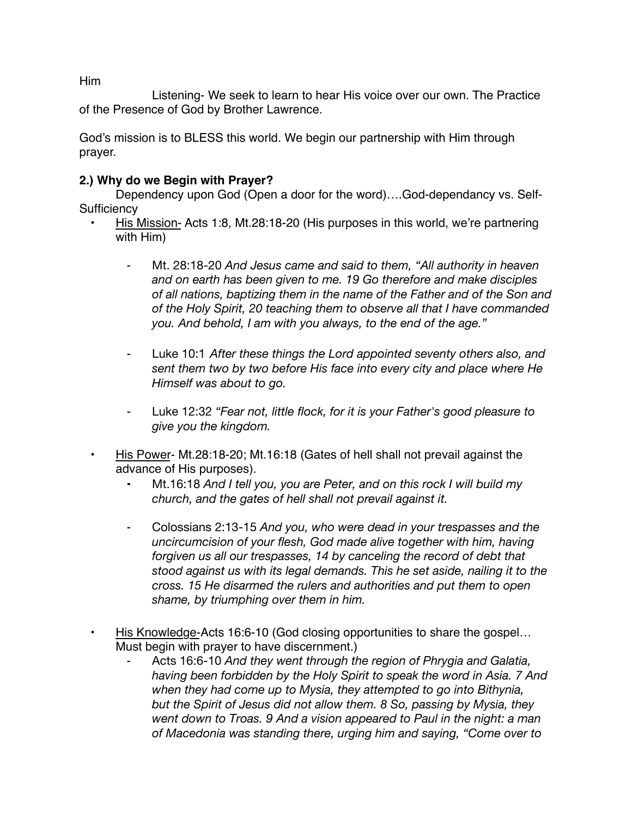Him

Listening- We seek to learn to hear His voice over our own. The Practice of the Presence of God by Brother Lawrence.

God's mission is to BLESS this world. We begin our partnership with Him through prayer.

### **2.) Why do we Begin with Prayer?**

Dependency upon God (Open a door for the word)….God-dependancy vs. Self-**Sufficiency** 

- His Mission- Acts 1:8, Mt.28:18-20 (His purposes in this world, we're partnering with Him)
	- ⁃ Mt. 28:18-20 *And Jesus came and said to them, "All authority in heaven and on earth has been given to me. 19 Go therefore and make disciples of all nations, baptizing them in the name of the Father and of the Son and of the Holy Spirit, 20 teaching them to observe all that I have commanded you. And behold, I am with you always, to the end of the age."*
	- *⁃* Luke 10:1 *After these things the Lord appointed seventy others also, and sent them two by two before His face into every city and place where He Himself was about to go.*
	- ⁃ Luke 12:32 *"Fear not, little flock, for it is your Father's good pleasure to give you the kingdom.*
- His Power- Mt.28:18-20; Mt.16:18 (Gates of hell shall not prevail against the advance of His purposes).
	- **⁃** Mt.16:18 *And I tell you, you are Peter, and on this rock I will build my church, and the gates of hell shall not prevail against it.*
	- *⁃* Colossians 2:13-15 *And you, who were dead in your trespasses and the uncircumcision of your flesh, God made alive together with him, having forgiven us all our trespasses, 14 by canceling the record of debt that stood against us with its legal demands. This he set aside, nailing it to the cross. 15 He disarmed the rulers and authorities and put them to open shame, by triumphing over them in him.*
	- His Knowledge-Acts 16:6-10 (God closing opportunities to share the gospel… Must begin with prayer to have discernment.)
		- Acts 16:6-10 *And they went through the region of Phrygia and Galatia, having been forbidden by the Holy Spirit to speak the word in Asia. 7 And when they had come up to Mysia, they attempted to go into Bithynia, but the Spirit of Jesus did not allow them. 8 So, passing by Mysia, they went down to Troas. 9 And a vision appeared to Paul in the night: a man of Macedonia was standing there, urging him and saying, "Come over to*